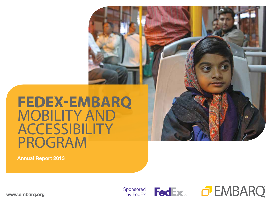## **FedEx-EMBARQ**  Mobility and **ACCESSIBILITY** Program

Annual Report 2013



www.embarq.org

Sponsored by FedEx



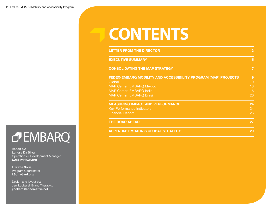# **contents**

| <b>LETTER FROM THE DIRECTOR</b>                                                                                                                                                     | 3                        |
|-------------------------------------------------------------------------------------------------------------------------------------------------------------------------------------|--------------------------|
| <b>EXECUTIVE SUMMARY</b>                                                                                                                                                            | 5                        |
| <b>CONSOLIDATING THE MAP STRATEGY</b>                                                                                                                                               | $\overline{7}$           |
| FEDEX-EMBARQ MOBILITY AND ACCESSIBILITY PROGRAM (MAP) PROJECTS<br>Global<br><b>MAP Center: EMBARQ Mexico</b><br><b>MAP Center: EMBARQ India</b><br><b>MAP Center: EMBARQ Brasil</b> | 9<br>9<br>13<br>16<br>20 |
| <b>MEASURING IMPACT AND PERFORMANCE</b><br><b>Key Performance Indicators</b><br><b>Financial Report</b>                                                                             | 24<br>24<br>26           |
| <b>THE ROAD AHEAD</b>                                                                                                                                                               | 27                       |
| <b>APPENDIX: EMBARQ'S GLOBAL STRATEGY</b>                                                                                                                                           | 29                       |

## OF EMBARQ

Report by: Larissa Da Silva, Operations & Development Manager LDaSilva@wri.org

Lizzette Soria, Program Coordinator LSoria@wri.org

Design and layout by: Jen Lockard, Brand Therapist jlockard@ariacreative.net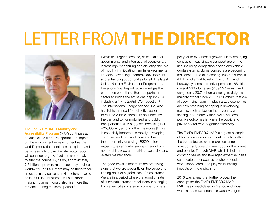# Letter from **the Director**



#### The FedEx EMBARQ Mobility and

Accessibility Program (MAP) continues at an auspicious time. Transportation's impact on the environment remains urgent as the world's population continues to explode and be increasingly urban. Private motorization will continue to grow if actions are not taken to alter the course. By 2005, approximately 7.5 billion trips were made each day in cities worldwide. In 2050, there may be three to four times as many passenger-kilometers traveled as in 2000 in a business-as-usual mode. Freight movement could also rise more than threefold during the same period.<sup>1</sup>

Within this urgent scenario, cities, national governments, and international agencies are increasingly recognizing and elevating the role of mobility in mitigating harmful environmental impacts, advancing economic development, and enhancing opportunities for all. The latest United Nations Environment Programme's Emissions Gap Report, acknowledges the enormous potential of the transportation sector to bridge the emissions gap by 2020, including a 1.7 to 2.5GT CO $_{\tiny 2}$  reduction.<sup>2</sup> The International Energy Agency (IEA) also highlights the need for collective action to reduce vehicle kilometers and increase the demand to nonmotorized and public transportation. (IEA suggests increasing BRT +25,000 km, among other measures.)<sup>3</sup> This is especially important in rapidly developing countries like Brazil and India and has the opportunity of saving US\$20 trillion in expenditures annually (savings mainly from not requiring road and parking expansion and related maintenance).

The good news is that there are promising signs that we are presently on the verge of a tipping point of a global rise of mass transit. We are in a period where the adoption rate of sustainable transport solutions is changing from a few cities or a small number of users

per year to exponential growth. Many emerging concepts in sustainable transport are on the rise, including congestion pricing and vehicle quota systems. Some concepts are becoming mainstream, like bike-sharing, bus rapid transit (BRT), and smart tickets. In fact, BRT and busway systems currently operate in 166 cities, cover 4,336 kilometers (2,694.27 miles), and carry nearly 29.7 million passengers daily—a majority of that since 2000.4 Still others that are already mainstream in industrialized economies are now emerging or tipping in developing regions, such as low emission zones, carsharing, and metro. Where we have seen positive outcomes is where the public and private sector work together effectively.

The FedEx-EMBARQ MAP is a great example of how collaboration can contribute to shifting the trends toward even more sustainable transport solutions that are good for the planet and people. Through MAP, which is built on common values and leveraged expertise, cities can create better access to where people work, shop, learn, and play while limiting impacts on the environment.

2013 was a year that further proved the concept for the FedEx-EMBARQ MAP: MAP was consolidated in Mexico and India; work in these two countries was leveraged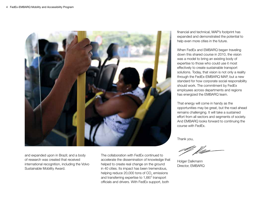

and expanded upon in Brazil; and a body of research was created that received international recognition, including the Volvo Sustainable Mobility Award.

The collaboration with FedEx continued to accelerate the dissemination of knowledge that helped to create real change on the ground in 40 cities. Its impact has been tremendous, helping reduce 20,000 tons of CO $_{_2}$  emissions and transferring expertise to 1,667 transport officials and drivers. With FedEx support, both

financial and technical, MAP's footprint has expanded and demonstrated the potential to help even more cities in the future.

When FedEx and EMBARQ began traveling down this shared course in 2010, the vision was a model to bring an existing body of expertise to those who could use it most effectively to create sustainable transport solutions. Today, that vision is not only a reality through the FedEx-EMBARQ MAP, but a new standard for how corporate social responsibility should work. The commitment by FedEx employees across departments and regions has energized the EMBARQ team.

That energy will come in handy as the opportunities may be great, but the road ahead remains challenging. It will take a sustained effort from all sectors and segments of society. And EMBARQ looks forward to continuing the course with FedEx.

Thank you,

Holger Dalkmann Director, EMBARQ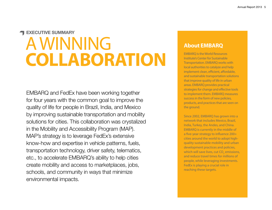### Executive Summary

# **A WINNING Collaboration**

EMBARQ and FedEx have been working together for four years with the common goal to improve the quality of life for people in Brazil, India, and Mexico by improving sustainable transportation and mobility solutions for cities. This collaboration was crystalized in the Mobility and Accessibility Program (MAP). MAP's strategy is to leverage FedEx's extensive know-how and expertise in vehicle patterns, fuels, transportation technology, driver safety, telematics, etc., to accelerate EMBARQ's ability to help cities create mobility and access to marketplaces, jobs, schools, and community in ways that minimize environmental impacts.

## **About EMBARQ**

EMBARQ is the World Resources Institute's Center for Sustainable Transportation. EMBARQ works with local authorities to catalyze and help implement clean, efficient, affordable, and sustainable transportation solutions that improve quality of life in urban areas. EMBARQ provides practical strategies for change and effective tools to implement them. EMBARQ measures success in the form of new policies, products, and practices that are seen on the ground.

Since 2002, EMBARQ has grown into a network that includes Mexico, Brazil, India, Turkey, the Andes, and China. EMBARQ is currently in the middle of a five-year strategy to influence 200+ cities around the world to adopt highquality sustainable mobility and urban development practices and policies, which will save lives, cut  $\mathsf{CO}_2$  emissions, and reduce travel times for millions of people, while leveraging investments. FedEx is playing a crucial role in reaching these targets.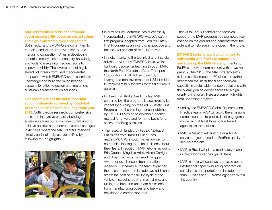#### MAP represents a model for corporate social responsibility based on shared values and high-skilled employee engagement.

Both FedEx and EMBARQ are committed to reducing emissions, improving safety, and managing congestion. Cities in developing countries mostly lack the capacity, knowledge, and tools to make informed decisions to improve mobility. The involvement of highly skilled volunteers from FedEx accelerates the pace at which EMBARQ can disseminate knowledge and build the much needed capacity for cities to design and implement sustainable transportation solutions.

#### This report outlines the most important accomplishments achieved by the global team and the MAP centers during fiscal year

2013. Cutting-edge research, comprehensive tools, and innovative capacity building on sustainable transportation have contributed to achieve positive and concrete external changes in 40 cities where the MAP canters intervene, directly and indirectly, as exemplified by the following MAP highlights:



- In Mexico City, Metrobus has successfully incorporated the EMBARQ Mexico's safety first program (adapted from FedEx's Safety First Program) as an institutional practice and trained 100 percent of its 1,080 drivers.
- In India, thanks to the technical and financial advice provided by EMABRQ India, which built on cross-center learning through MAP, the North East Karnataka Road Transport Corporation (NEKRTC) successfully leveraged a total investment of US\$11 million to implement bus systems for the first time in six cities.
- In Brazil, EMBARQ Brasil, the last MAP center to join the program, is accelerating its impact by building on the FedEx Safety First Program and the training manual published by EMABRQ Mexico to develop a pocket manual for drivers and form the basis for a series of training sessions.
- The research funded by FedEx, "Exhaust Emissions from Transit Buses," has made EMBARQ a sought-after adviser to companies looking to make decisions about their fleets. In addition, MAP fellows including Erin Cooper, Magdala Arioli, Aileen Carrigan and Umag Jai, won the Freud Burggraf Award for excellence in transportation research. Furthermore, the team expanded the research scope to include two additional areas: the cost of the full life cycle of the vehicle—including buying, maintaining, and fueling the bus, and upstream emissions from manufacturing buses and fuel—and developed a comparison tool.

Thanks to FedEx financial and technical support, the MAP program has promoted real change on the ground and demonstrated the potential to help even more cities in the future.

EMBARQ looks forward to continuing to collaborate with FedEx to consolidate and scale up the MAP strategy. Thanks to FedEx's renewed commitment with a two-year grant (2014–2015), the MAP strategy aims to increase its impact to 60 cities and further strengthen the institutional and technical capacity in sustainable transport solutions with the overall goal to deliver access to a high quality of life for all. Here are some highlights from upcoming projects:

- Led by the EMBARQ Global Research and Practice team, MAP will apply the emissions comparison tool to pilot a direct engagement model with at least three to five transit agencies in three cities.
- MAP in Mexico will launch a quality-ofservice project, based on FedEx's quality-ofservice program.
- MAP in Brazil will pilot a road safety manual in Belo Horizonte through BHTrans.
- MAP in India will continue and scale up the institutional capacity-building program on sustainable transportation to include more than 12 cities and 22 transit agencies within the country.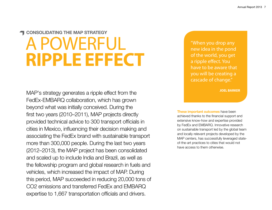## consolidating the map strategy OWERFUL **ripple effect**

MAP's strategy generates a ripple effect from the FedEx-EMBARQ collaboration, which has grown beyond what was initially conceived. During the first two years (2010–2011), MAP projects directly provided technical advice to 300 transport officials in cities in Mexico, influencing their decision making and associating the FedEx brand with sustainable transport more than 300,000 people. During the last two years (2012–2013), the MAP project has been consolidated and scaled up to include India and Brazil, as well as the fellowship program and global research in fuels and vehicles, which increased the impact of MAP. During this period, MAP succeeded in reducing 20,000 tons of CO2 emissions and transferred FedEx and EMBARQ expertise to 1,667 transportation officials and drivers.

"When you drop any new idea in the pond of the world, you get a ripple effect. You have to be aware that you will be creating a cascade of change."

**joel barker**

These important outcomes have been achieved thanks to the financial support and extensive know-how and expertise provided by FedEx and EMBARQ. Innovative research on sustainable transport led by the global team and locally relevant projects developed by the MAP centers, has successfully leveraged stateof-the-art practices to cities that would not have access to them otherwise.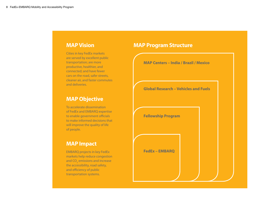### **MAP Vision**

Cities in key FedEx markets are served by excellent public transportation; are more productive, healthier, and connected; and have fewer cars on the road, safer streets, cleaner air, and faster commutes and deliveries.

### **MAP Objective**

To accelerate dissemination of FedEx and EMBARQ expertise to enable government officials to make informed decisions that will improve the quality of life of people.

### **MAP Impact**

EMBARQ projects in key FedEx markets help reduce congestion and CO<sub>2</sub> emissions and increase the accessibility, road safety, and efficiency of public transportation systems.

## **MAP Program Structure**

**MAP Centers – India / Brazil / Mexico**

**Global Research – Vehicles and Fuels**

**Fellowship Program**

**FedEx – EMBARQ**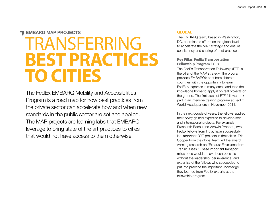#### **THE EMBARQ MAP PROJECTS**

# **TRANSFERRING Best Practices to Cities**

The FedEx EMBARQ Mobility and Accessibilities Program is a road map for how best practices from the private sector can accelerate how and when new standards in the public sector are set and applied. The MAP projects are learning labs that EMBARQ leverage to bring state of the art practices to cities that would not have access to them otherwise.

#### **GLOBAL**

The EMBARQ team, based in Washington, DC, coordinates efforts on the global level to accelerate the MAP strategy and ensure consistency and sharing of best practices.

#### **Key Pillar: FedEx Transportation Fellowship Program FY13**

The FedEx Transportation Fellowship (FTF) is the pillar of the MAP strategy. The program provides EMBARQ's staff from different countries with the opportunity to learn FedEx's expertise in many areas and take the knowledge home to apply it on real projects on the ground. The first class of FTF fellows took part in an intensive training program at FedEx World Headquarters in November 2011.

In the next couple of years, the fellows applied their newly gained expertise to develop local and international projects. For example, Prashanth Bachu and Ashwin Prahbhu, two FedEx fellows from India, have successfully led important BRT projects in their cities. Erin Cooper from the global team led the award winning research on "Exhaust Emissions from Transit Buses." These important transport milestones wouldn't have been possible without the leadership, perseverance, and expertise of the fellows who succeeded to put into practice the important knowledge they learned from FedEx experts at the fellowship program.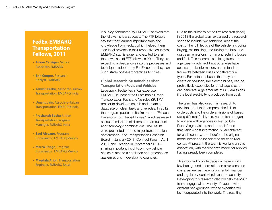## **FedEx-EMBARQ Transportation Fellows, 2011**

- **Aileen Carrigan**, Senior Associate, EMBARQ
- **Erin Cooper**, Research Analyst, EMBARQ
- **Ashwin Prabu**, Associate–Urban Transportation, EMBARQ India
- **Umang Jain**, Associate–Urban Transportation, EMBARQ India
- **Prashanth Bachu**, Urban Transportation Program Manager, EMBARQ India
- **Saul Alveano**, Program Coordinator, EMBARQ Mexico
- **Marco Priego**, Program Coordinator, EMBARQ Mexico
- **Magdala Arioli**, Transportation Engineer, EMBARQ Brasil

A survey conducted by EMBARQ showed that the fellowship is a success. The FTF fellows say that they learned important skills and knowledge from FedEx, which helped them lead local projects in their respective countries. EMBARQ staff is eager and excited to start the new class of FTF fellows in 2014. They are expecting a deeper dive into the processes and techniques adopted by FedEx so that they can bring state- of-the-art practices to cities.

**Global Research: Sustainable Urban Transportation Fuels and Vehicles**  Leveraging FedEx technical expertise, EMBARQ launched the Sustainable Urban Transportation Fuels and Vehicles (SUTFV) project to develop research and create a database on clean fuels and vehicles. In 2012, the program published its first report, "Exhaust Emissions from Transit Buses," which assessed exhaust emissions of different urban bus fuel and technology combinations. The results were presented at three major transportation conferences—the Transportation Research Board in January 2013, Connect Karo in April 2013, and Thredbo in September 2013 sharing important insights on how vehicle choice relates to air pollution and greenhouse gas emissions in developing countries.

Due to the success of the first research paper, in 2013 the global team expanded the research scope to include two additional areas: the cost of the full lifecycle of the vehicle, including buying, maintaining, and fueling the bus, and upstream emissions from manufacturing buses and fuel. This research is helping transport agencies, which might not otherwise have access to this information, understand the trade-offs between buses of different fuel types. For instance, buses that may not create air pollution, like electric buses, can be prohibitively expensive for small agencies or can generate large amounts of CO $_{_2}$  emissions if the local electricity is produced from coal.

The team has also used this research to develop a tool that compares the full life cycle costs and life cycle emissions of buses using different fuel types. As the team began to engage with agencies in Mexico City, Porto Alegre, Jaipur, and more, it found that vehicle cost information is very different for each country, and therefore the original model needed to be adapted for each MAP center. At present, the team is working on this adaptation, with the first draft model for Mexico having already been completed.

This work will provide decision makers with key background information on emissions and costs, as well as the environmental, financial, and regulatory context relevant to each city. Developing this research also will help the MAP team engage with a variety of experts with different backgrounds, whose expertise will be incorporated into the work. The resulting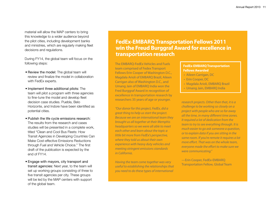material will allow the MAP centers to bring this knowledge to a wider audience beyond the pilot cities, including development banks and ministries, which are regularly making fleet decisions and regulations.

During FY14, the global team will focus on the following steps:

- Review the model: The global team will review and finalize the model in collaboration with FedEx experts.
- Implement three additional pilots: The team will pilot a program with three agencies to fine-tune the model and develop fleet decision case studies. Puebla, Belo Horizonte, and Indore have been identified as potential cities.
- Publish the life cycle emissions research: The results from the research and cases studies will be presented in a complete work, titled "Clean and Cool Bus Fleets: How Transit Agencies in Developing Countries Can Make Cost-effective Emissions Reductions through Fuel and Vehicle Choice." The first draft of the publication is expected by the end of FY14.
- Engage with mayors, city transport and transit agencies: Next year, to the team will set up working groups consisting of three to five transit agencies per city. These groups will be led by the MAP centers with support of the global team.

### **FedEx-EMBARQ Transportation Fellows 2011 win the Freud Burggraf Award for excellence in transportation research**

The EMBARQ-FedEx Vehicles and Fuels team comprised of Fedex Transport Fellows Erin Cooper of Washington D.C., Magdala Arioli of EMBARQ Brazil, Aileen Carrigan also of Washington D.C., and Umang Jain of EMBARQ India won the Fred Burggraf Award in recognition of excellence in transportation research by researchers 35 years of age or younger.

*"Our donor for this project, FedEx, did a great thing to help us start the project. Because we are an international team they brought us all together at their Memphis headquarters so we were all able to meet each other and learn about the topic a little bit more from FedEx's perspective, where they told us about their own experience with heavy duty vehicles and meeting stringent emissions standards in California.* 

*Having the team come together was very useful to establishing the relationships that you need to do these types of international* 

#### **FedEx-EMBARQ Transportation Fellows Awarded**

- Aileen Carrigan, DC
- Erin Cooper, DC
- Magdala Arioli, EMBARQ Brazil
- Umang Jain, EMBARQ India

*research projects. Other than that, it is a challenge to be working so closely on a project with people who are so far away all the time, in many different time zones. It required a lot of dedication from the team to try to see everything through. It is much easier to go ask someone a question, or to explain data if you are sitting in the same room. If you're remote it requires a lot more effort. That was on the whole team, everyone made the effort to make sure we were communicating."*

—Erin Cooper, FedEx-EMBARQ Transportation Fellow, Global Team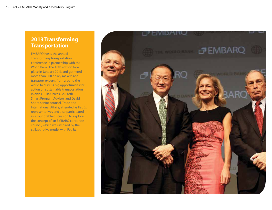## **2013 Transforming Transportation**

EMBARQ hosts the annual Transforming Transportation conference in partnership with the World Bank. The 10th edition took place in January 2013 and gathered more than 500 policy makers and transport experts from around the world to discuss big opportunities for action on sustainable transportation in cities. Julia Chicoskie, Earth Smart Program Advisor, and David Short, senior counsel, Trade and International Affairs, attended as FedEx representatives and also participated in a roundtable discussion to explore the concept of an EMBARQ corporate council, which was inspired by the collaborative model with FedEx.

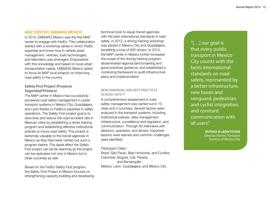#### MAP Center: EMBARQ Mexico

In 2010, EMBARQ Mexico was the first MAP center to engage with FedEx. This collaboration started with a workshop series in which FedEx expertise and know-how in vehicle asset management, vehicles, fuels technologies, and telematics was leveraged. Empowered with this knowledge and based on local urban transportation needs, EMBARQ Mexico opted to focus its MAP local projects on improving road safety in the country.

#### **Safety First Project (Proyecto Seguridad Primero)**

The MAP center in Mexico has successfully pioneered road safety management in public transport systems in Mexico City, Guadalajara, and León thanks to FedEx's expertise in safety operations. The Safety First project goal is to save lives and reduce the road accident rate in Mexican cities by establishing a driver training program and establishing effective institutional policies to insure road safety. This project is extremely valuable to the transit agencies in Mexico as they had never carried out such a program before. The ripple effect the Safety First project can be far-reaching as the project can be replicated not only in Mexico but in other countries as well.

Based on the FedEx Safety First program, the Safety First Project in Mexico focuses on strengthening capacity building and developing technical tools to equip transit agencies with the best international standards in road safety. In 2012, a driving training workshop was piloted in Mexico City and Guadalajara, benefiting a total of 950 drivers. In 2013, the MAP center in Mexico further increased the scope of the driving training program, disseminated regional benchmarking and good practices guidance, and established a monitoring framework to audit infrastructure plans and implementation.

#### Benchmarking and best practices in road safety

A comprehensive assessment in road safety management was carried out in 10 cities and 3 countries. Several factors were analyzed in the transport systems, including institutional policies, data management, infrastructure, surveillance and regulation, and communication. Through 63 interviews with directors, operators, and drivers, important lessons were learned and common challenges were identified.

#### *Participant Cities:*

Brazil: São Paulo, Belo Horizonte, and Curitiba Colombia: Bogotá, Cali, Pereira, and Barranquilla México: León, Guadalajara, and México City

"[…] our goal is that every public transport in Mexico City counts with the bests international standards on road safety, represented by a better infrastructure, new buses and vanguard, pedestrian and cyclist integration, and constant communication with all users."

> **rufino h leÓn tovar** Director, Electric Transport Services of Mexico City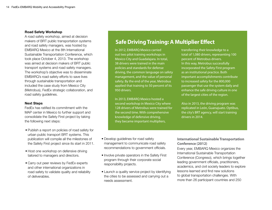#### Road Safety Workshop

A road safety workshop, aimed at decision makers of BRT public transportation systems and road safety managers, was hosted by EMBARQ Mexico at the 8th International Sustainable Transportation Conference, which took place October 4, 2013. The workshop was aimed at decision makers of BRT public transport systems and road safety managers. The workshop's objective was to disseminate EMBARQ's road safety efforts to save lives through sustainable transportation and included the case study from Mexico City (Metrobus), FedEx strategic collaboration, and road safety guidelines.

#### Next Steps

FedEx has ratified its commitment with the MAP center in Mexico to further support and consolidate the Safety First project by taking the following next steps:

- Publish a report on policies of road safety for urban public transport BRT systems. This publication will compile all the milestones of the Safety First project since its start in 2011.
- Host one workshop on defensive driving tailored to managers and directors.
- Carry out peer reviews by FedEx experts and other international organizations in road safety to validate quality and reliability of deliverables.

## **Safe Driving Training: A Multiplier Effect**

In 2012, EMBARQ Mexico carried out two pilot training workshops in Mexico City and Guadalajara. In total, 38 drivers were trained in the main policies and standards for defense driving, the common language on safety management, and the value of personal safety. By the end of the year, Metrobus applied that training to 50 percent of its 950 drivers.

In 2013, EMBARQ Mexico hosted a second workshop in Mexico City where 128 drivers of Metrobus were trained for the second time. With comprehensive knowledge of defensive driving, they became important multipliers,

transferring their knowledge to a total of 1,080 drivers, representing 100 percent of Metrobus drivers. In this way, Metrobus successfully incorporated the Safety First program as an institutional practice. Both important accomplishments contribute to increased safety for the 800,000 passenger that use the system daily and enhance the safe driving culture in one of the largest cities of the region.

Also in 2013, the driving program was replicated in León, Guanajuato. Optibus, the city's BRT agency, will start training drivers in 2014.

- Develop guidelines for road safety management to communicate road safety recommendations to government officials.
- Involve private operators in the Safety First program through their corporate social responsibility projects.
- Launch a quality service project by identifying the cities to be assessed and carrying out a needs assessment.

#### **International Sustainable Transportation Conference (2012)**

Every year, EMBARQ Mexico organizes the International Sustainable Transportation Conference (Congreso), which brings together leading government officials, practitioners, academics, and civil society leaders to explore lessons learned and find new solutions to global transportation challenges. With more than 26 participant countries and 250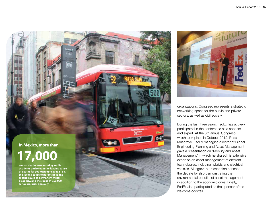



organizations, Congreso represents a strategic networking space for the public and private sectors, as well as civil society.

During the last three years, FedEx has actively participated in the conference as a sponsor and expert. At the 8th annual Congreso, which took place in October 2012, Russ Musgrove, FedEx managing director of Global Engineering Planning and Asset Management, gave a presentation on "Mobility and Asset Management" in which he shared his extensive expertise on asset management of different technologies, including hybrids and electrical vehicles. Musgrove's presentation enriched the debate by also demonstrating the environmental benefits of asset management in addition to the economic ones. Finally, FedEx also participated as the sponsor of the welcome cocktail.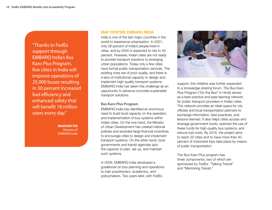"Thanks to FedEx support through EMBARQ India's Bus Karo Plus Program, five cities in India will improve operations of 25,000 buses resulting in 30 percent increased fuel efficiency and enhanced safety that will benefit 18 million users every day."

> **madhav pai** Director of EMBARQ India

#### MAP Center: EMBARQ india

India is one of the last major countries in the world to experience urbanization. In 2001, only 28 percent of India's people lived in cities, and by 2040 is expected to rise to 40 percent. However, Indian cities are not ready to provide transport solutions to emerging urban populations. Today only a few cities have formal public transportation services. The existing ones are of poor quality, and there is a lack of institutional capacity to design and implement high-quality transport systems. EMBARQ India has taken this challenge as an opportunity to advance concrete sustainable transport solutions.

#### **Bus Karo Plus Program**

EMBARQ India has identified an enormous need to build local capacity on the operation and implementation of bus systems within Indian cities. On the one hand, the Ministry of Urban Development has created national policies and awarded large financial incentives to encourage cities to design and implement transport systems. On the other hand, local governments and transit agencies lack the capacity to plan, set up, and maintain such systems.

In 2009, EMBARQ India developed a guidebook on bus planning and operations to train practitioners, academics, and policymakers. Two years later, with FedEx



support, this initiative was further expanded to a knowledge-sharing forum. The Bus Karo Plus Program ("Do the Bus" in Hindi) serves as a best practice and peer learning network for public transport providers in Indian cities. This network provides an ideal space for city officials and local transportation planners to exchange information, best practices, and lessons learned. It also helps cities access and leverage government funds, optimize the use of these funds for high-quality bus systems, and reduce fuel costs. By 2016, the project aims to reach 20 cities and to have more than 40 percent of motorized trips take place by means of public transportation.

The Bus Karo Plus program has three components, two of which are sponsored by FedEx: "Talking Transit" and "Mentoring Transit."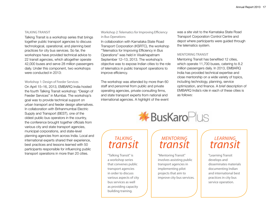#### Talking Transit

Talking Transit is a workshop series that brings together public transport agencies to discuss technological, operational, and planning best practices for city bus services. So far, the workshops have provided technical advice to 22 transit agencies, which altogether operate 42,000 buses and serve 28 million passengers daily. Under this component, two workshops were conducted in 2013:

#### Workshop 1: Design of Feeder Services

On April 15–16, 2013, EMBARQ India hosted the fourth Talking Transit workshop: "Design of Feeder Services" in Mumbai. The workshop's goal was to provide technical support on urban transport and feeder design alternatives. In collaboration with Brihanmumbai Electric Supply and Transport (BEST), one of the oldest public bus operators in the country, the conference brought together officials from various city and state transport agencies, municipal corporations, and state-level planning agencies from across India. Local and international experts shared their experience, best practices and lessons learned with 50 participants responsible for influencing public transport operations in more than 20 cities.

Workshop 2: Telematics for Improving Efficiency in Bus Operations

In collaboration with Karnataka State Road Transport Corporation (KSRTC), the workshop "Telematics for Improving Efficiency in Bus Operations" was held in Visakhapatnam September 12–13, 2013. The workshop's objective was to expose Indian cities to the role of telematics in public transport operations to improve efficiency.

The workshop was attended by more than 60 staff and personnel from public and private operating agencies, private consulting firms, and state transport experts from national and international agencies. A highlight of the event was a site visit to the Karnataka State Road Transport Corporation Control Centre and depot where participants were guided through the telematics system.

#### Mentoring Transit

Mentoring Transit has benefited 12 cities, which operate 11,700 buses, catering to 8.2 million passengers daily. In 2013, EMBARQ India has provided technical expertise and close mentorship on a wide variety of topics, including technology, planning, service optimization, and finance. A brief description of EMBARQ India's role in each of these cities is as follows:

**\*BusKaroPlus** 

## *Talking transit*

"Talking Transit" is a workshop series that convenes public transport agencies in order to discuss various aspects of city bus services as well as providing capacity building training.

## *Mentoring transit*

"Mentoring Transit" involves assisting public transport agencies in implementing pilot projects that aim to improve city bus services.

## *Learning transit*

"Learning Transit develops and disseminates materials documenting Indian and international best practices in city bus service operation.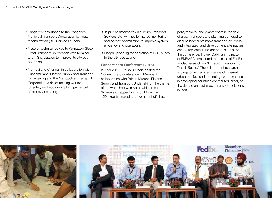- Bangalore: assistance to the Bangalore Municipal Transport Corporation for route rationalization (BIG Service Launch)
- Mysore: technical advice to Karnataka State Road Transport Corporation with terminal and ITS evaluation to improve its city bus operations
- Mumbai and Chennai: in collaboration with Brihanmumbai Electric Supply and Transport Undertaking and the Metropolitan Transport Corporation, a driver training workshop for safety and eco driving to improve fuel efficiency and safety
- Jaipur: assistance to Jaipur City Transport Services Ltd. with performance monitoring and service optimization to improve system efficiency and operations
- Bhopal: planning for operation of BRT buses to the city bus agency

**Connect Karo Conference (2013)** In April 2013, EMBARQ India hosted the Connect Karo conference in Mumbai in collaboration with Brihan Mumbai Electric Supply and Transport Undertaking. The theme of the workshop was Karo, which means "to make it happen" in Hindi. More than 150 experts, including government officials,

policymakers, and practitioners in the field of urban transport and planning gathered to discuss how sustainable transport solutions and integrated land development alternatives can be replicated and adapted in India. At the conference, Holger Dalkmann, director of EMBARQ, presented the results of FedExfunded research on "Exhaust Emissions from Transit Buses." These important research findings on exhaust emissions of different urban bus fuel and technology combinations in developing countries contributed largely to the debate on sustainable transport solutions in India.

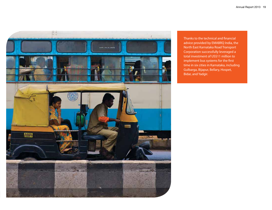

Thanks to the technical and financial advice provided by EMABRQ India, the North East Karnataka Road Transport Corporation successfully leveraged a total investment of US\$11 million to implement bus systems for the first time in six cities in Karnataka, including Gulbarga, Bijapur, Bellary, Hospet, Bidar, and Yadgir.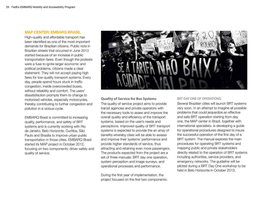#### MAP Center: EMBARQ Brasil

High-quality and affordable transport has been identified as one of the most important demands for Brazilian citizens. Public riots in Brazilian streets that occurred in June 2013 started because of an increase in public transportation fares. Even though the protests were a fuse to ignite larger economic and political problems, citizens made a clear statement: They will not accept paying high fares for low-quality transport systems. Every day, people spend hours stuck in traffic congestion, inside overcrowded buses, without reliability and comfort. The users' dissatisfaction prompts them to change to motorized vehicles, especially motorcycles, thereby contributing to further congestion and pollution in a vicious cycle.

EMBARQ Brasil is committed to increasing quality, performance, and safety of BRT systems and is currently working with Rio de Janeiro, Belo Horizonte, Curitiba, São Paulo and Brasília to improve urban public transportation in those cities. EMBARQ Brasil started its MAP project in October 2012, focusing on two components: driver safety and quality of service.



#### **Quality of Service for Bus Systems**

The quality of service project aims to provide transit agencies and private operators with the necessary tools to asses and improve the overall quality and efficiency of the transport systems, based on the user's needs and perceptions. Improved quality of BRT transport systems is expected to provide the an array of benefits whereby cities will be able to assess and improve their systems' performance and provide higher standards of service, thus attracting and retaining even more passengers. The products expected from the project are a set of three manuals: BRT day one operation, system perception and image surveys, and operational processes and performance.

During the first year of implementation, the project focused on the first two components:

#### BRT Day One of Operations:

Several Brazilian cities will launch BRT systems very soon. In an attempt to imagine all possible problems that could jeopardize an effective and safe BRT operation starting from day one, the MAP center in Brazil, together with international specialists, is developing a guide for operational procedures designed to insure the successful operation of the first day of a BRT system. The manual explores the main procedures for operating BRT systems and mapping public and private stakeholders directly related to the operation of BRT systems including authorities, service providers, and emergency networks. The guideline will be piloted during a BRT Day One workshop to be held in Belo Horizonte in October 2013.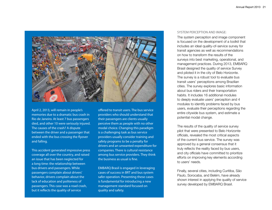

April 2, 2013, will remain in people's memories due to a dramatic bus crash in Rio de Janeiro. At least 7 bus passengers died, and other 10 were seriously injured. The causes of the crash? A dispute between the driver and a passenger that ended with the bus crossing the flyover and falling.

This accident generated impressive press coverage all over the country, and raised an issue that has been neglected for a long time: the relationship between bus drivers and passengers. While passengers complain about drivers' behavior, drivers complain about the lack of education and politeness of passengers. This case was a road crash, but it reflects the quality of service

offered to transit users. The bus service providers who should understand that their passengers are clients usually perceive them as people with no other modal choice. Changing this paradigm is a challenging task as bus service providers usually consider training and safety programs to be a penalty for drivers and an unwanted expenditure for companies. There is cultural resistance among bus service providers. They think the business as usual is fine.

EMBARQ Brasil is engaged in leveraging cases of success in BRT and bus system safer operation. Presenting these cases is fundamental for introducing a new management standard focused on quality and safety.

#### System Perception and Image:

The system perception and image component is focused on the development of a toolkit that includes an ideal quality-of-service survey for transit agencies as well as recommendations on how to transform the results of the surveys into best marketing, operational, and management practices. During 2013, EMBARQ Brasil designed the quality of service Survey and piloted it in the city of Belo Horizonte. The survey is a robust tool to evaluate bus transit users' perceptions among Brazilian cities. The survey explores basic information about bus riders and their transportation habits. It includes 16 additional modules to deeply evaluate users' perception and 4 modules to identify problems faced by bus users, evaluate their perceptions regarding the entire citywide bus system, and estimate a potential modal change.

The results of the quality of service survey pilot that were presented to Belo Horizonte officials, revealed the most critical aspects of the current bus service. The survey was approved by a general consensus that it truly reflects the reality faced by bus users, and city officials have committed to prioritize efforts on improving key elements according to users' needs.

Finally, several cities, including Curitiba, São Paulo, Sorocaba, and Belém, have already shown interest in applying the quality of service survey developed by EMBARQ Brasil.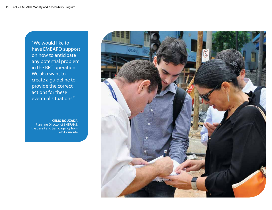"We would like to have EMBARQ support on how to anticipate any potential problem in the BRT operation. We also want to create a guideline to provide the correct actions for these eventual situations."

**CELIO BOUZADA** Planning Director of BHTRANS, the transit and traffic agency from Belo Horizonte

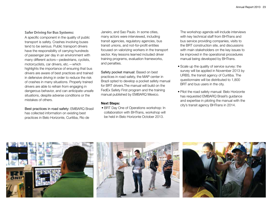#### **Safer Driving for Bus Systems:**

A specific component in the quality of public transport is safety. Crashes involving buses tend to be serious. Public transport drivers have the responsibility of carrying hundreds of passenger per day in an environment with many different actors—pedestrians, cyclists, motorcyclists, car drivers, etc.—which highlights the importance of ensuring that bus drivers are aware of best practices and trained in defensive driving in order to reduce the risk of crashes in many situations. Properly trained drivers are able to refrain from engaging in dangerous behavior, and can anticipate unsafe situations, despite adverse conditions or the mistakes of others.

Best practices in road safety: EMBARQ Brasil has collected information on existing best practices in Belo Horizonte, Curitiba, Rio de

Janeiro, and Sao Paulo. In some cities, many actors were interviewed, including transit agencies, regulatory agencies, bus transit unions, and not-for-profit entities focused on valorizing workers in the transport sector. Key lessons learned included driver training programs, evaluation frameworks, and penalties.

Safety pocket manual: Based on best practices in road safety, the MAP center in Brazil opted to develop a pocket safety manual for BRT drivers.The manual will build on the FedEx Safety First program and the training manual published by EMBARQ Mexico.

#### Next Steps:

• BRT Day One of Operations workshop: In collaboration with BHTrans, workshop will be held in Belo Horizonte October 2013.

The workshop agenda will include interviews with key technical staff from BHTrans and bus service providing companies, visits to the BRT construction site, and discussions with main stakeholders on the key issues to be improved in the operational procedures manual being developed by BHTrans.

- Scale up the quality of service survey: the survey will be applied in November 2013 by URBS, the transit agency of Curitiba. The questionnaire will be distributed to 1,800 BRT and bus users in the city.
- Pilot the road safety manual: Belo Horizonte has requested EMBARQ Brasil's guidance and expertise in piloting the manual with the city's transit agency BHTrans in 2014.

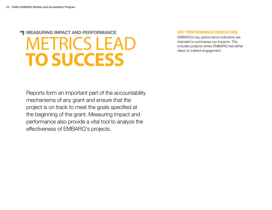## MEASURing Impact and PERFORMANCE **METRICS LEAD to Success**

#### Key Performance Indicators

EMBARQ's key performance indicators are intended to summarize our impacts. This includes projects where EMBARQ had either direct or indirect engagement.

Reports form an important part of the accountability mechanisms of any grant and ensure that the project is on track to meet the goals specified at the beginning of the grant. Measuring impact and performance also provide a vital tool to analyze the effectiveness of EMBARQ's projects.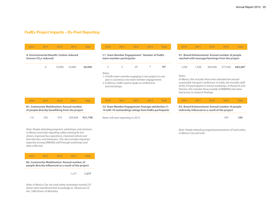#### FedEx Project Impacts – Ex-Post Reporting

| 2010                                                                                                | 2011     | 2012   | 2013                                                                                                                                                                                                                                                                                             | Total        | 2010                                                                                                                                                                                      | 2011                               | 2012 | 2013                                                                                                            | Total           | 2010                                                                                                                                                                                                                                                                                                 | 2011                     | 2012    | 2013                                                                                              | <b>Total</b> |  |
|-----------------------------------------------------------------------------------------------------|----------|--------|--------------------------------------------------------------------------------------------------------------------------------------------------------------------------------------------------------------------------------------------------------------------------------------------------|--------------|-------------------------------------------------------------------------------------------------------------------------------------------------------------------------------------------|------------------------------------|------|-----------------------------------------------------------------------------------------------------------------|-----------------|------------------------------------------------------------------------------------------------------------------------------------------------------------------------------------------------------------------------------------------------------------------------------------------------------|--------------------------|---------|---------------------------------------------------------------------------------------------------|--------------|--|
| A. Environmental Benefit: Carbon reduced<br>(tonnes CO <sub>2</sub> e reduced).                     |          |        |                                                                                                                                                                                                                                                                                                  |              | <b>C1. Team Member Engagement: Number of FedEx</b><br>team member participants                                                                                                            |                                    |      |                                                                                                                 |                 | D1. Brand Enhancement: Annual number of people<br>reached with message/learnings from the project                                                                                                                                                                                                    |                          |         |                                                                                                   |              |  |
|                                                                                                     | $\Omega$ | 10,000 | 10,000                                                                                                                                                                                                                                                                                           | 20,000       | 2                                                                                                                                                                                         | 5                                  | 29   |                                                                                                                 | 43 <sup>2</sup> | 1,200                                                                                                                                                                                                                                                                                                | 1,200                    | 304,009 | 377.436                                                                                           | 683,687      |  |
|                                                                                                     |          |        |                                                                                                                                                                                                                                                                                                  |              | Notes:<br>1: A FedEx team member engaging in two projects in one<br>year is counted as two team member engagements.<br>2: In Mexico, FedEx experts spoke at conferences<br>and workshops. |                                    |      |                                                                                                                 |                 | Notes:<br>In Mexico, this includes those who attended the annual<br>sustainable transport conference. In India, this includes staff<br>of the 270 participants in transit workshops. In Research and<br>Practice, this includes those outside of EMBARO who have<br>had access to research findings. |                          |         |                                                                                                   |              |  |
| 2010                                                                                                | 2011     | 2012   | 2013                                                                                                                                                                                                                                                                                             | <b>Total</b> | 2010                                                                                                                                                                                      | 2011                               | 2012 | 2013                                                                                                            | <b>Total</b>    | 2010                                                                                                                                                                                                                                                                                                 | 2011                     | 2012    | 2013                                                                                              | <b>Total</b> |  |
| <b>B1. Community Mobilization: Annual number</b><br>of people directly benefitting from the project |          |        |                                                                                                                                                                                                                                                                                                  |              |                                                                                                                                                                                           |                                    |      | C2. Team Member Engagement: Average satisfaction (1-<br>10 with 10 outstanding) ratings from FedEx participants |                 |                                                                                                                                                                                                                                                                                                      |                          |         | D2. Brand Enhancement: Annual number of people<br>indirectly influnced as a result of the project |              |  |
| 110                                                                                                 | 350      | 470    | 920,828                                                                                                                                                                                                                                                                                          | 921,748      |                                                                                                                                                                                           | Note: will start reporting in 2014 |      |                                                                                                                 |                 |                                                                                                                                                                                                                                                                                                      |                          |         | 160                                                                                               | 160          |  |
|                                                                                                     |          |        | Note: People attending programs, workshops, and seminars<br>in Mexico and India regarding safety training for bus<br>drivers, improved bus operations, improved vehicle and<br>fuel selection, and telematics. This also includes improved<br>expertise among EMBARQ staff through workshops and |              |                                                                                                                                                                                           |                                    |      |                                                                                                                 |                 |                                                                                                                                                                                                                                                                                                      | in México City and León. |         | Note: People attending targeted presentations of road safety                                      |              |  |

2010 2011 2012 2013 Total **B2. Community Mobilization: Annual number of people directly influenced as a result of the project**

*data collection.*

1,277 **1,277**

*Note: In Mexico City, the road safety workshops trained 237 drivers who transferred their knowledge to 100 percent of the 1,080 drivers of Metrobus*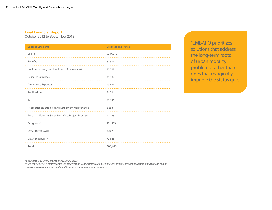#### Final Financial Report

October 2012 to September 2013

| <b>Expense Line Items</b>                               | <b>Expenses This Period</b> |
|---------------------------------------------------------|-----------------------------|
| Salaries                                                | \$204,310                   |
| <b>Benefits</b>                                         | 80,374                      |
| Facility Costs (e.g., rent, utilities, office services) | 73,367                      |
| Research Expenses                                       | 44,199                      |
| Conference Expenses                                     | 29,894                      |
| Publications                                            | 54,204                      |
| Travel                                                  | 29,346                      |
| Reproduction, Supplies and Equipment Maintenance        | 6,358                       |
| Research Materials & Services, Misc. Project Expenses   | 47,243                      |
| Subgrants*                                              | 221,553                     |
| <b>Other Direct Costs</b>                               | 4,407                       |
| G & A Expenses**                                        | 72,623                      |
| <b>Total</b>                                            | 886,655                     |

"EMBARQ prioritizes solutions that address the long-term roots of urban mobility problems, rather than ones that marginally improve the status quo."

*\* Subgrants to EMBARQ Mexico and EMBARQ Brasil*

*\*\* General and Administrative Expenses: organization-wide costs including senior management, accounting, grants management, human resources, web management, audit and legal services, and corporate insurance.*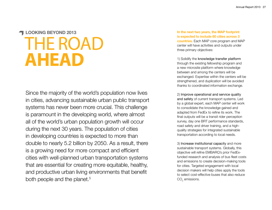## **TLOOKING BEYOND 2013** THE ROAD **Ahead**

Since the majority of the world's population now lives in cities, advancing sustainable urban public transport systems has never been more crucial. This challenge is paramount in the developing world, where almost all of the world's urban population growth will occur during the next 30 years. The population of cities in developing countries is expected to more than double to nearly 5.2 billion by 2050. As a result, there is a growing need for more compact and efficient cities with well-planned urban transportation systems that are essential for creating more equitable, healthy, and productive urban living environments that benefit both people and the planet.<sup>5</sup>

#### In the next two years, the MAP footprint is expected to include 60 cities across 3 countries. Each MAP core program and MAP center will have activities and outputs under three primary objectives:

1) Solidify the knowledge transfer platform through the existing fellowship program and a new microsite platform where knowledge between and among the centers will be exchanged. Expertise within the centers will be strengthened, and duplication will be avoided thanks to coordinated information exchange.

2) Improve operational and service quality and safety of current transport systems. Led by a global expert, each MAP center will work to consolidate the knowledge gained and adapted from FedEx to refine its work. The final outputs will be a transit rider perception survey, day one BRT performance standards, road safety and driver training, and a highquality strategies for integrated sustainable transportation according to local needs.

3) Increase institutional capacity and more sustainable transport systems. Globally, this objective will refine EMBARQ's prior FedExfunded research and analysis of bus fleet costs and emissions to create decision-making tools for cities. Targeted engagement with local decision makers will help cities apply the tools to select cost-effective buses that also reduce  $\mathrm{CO}_2^{}$  emissions.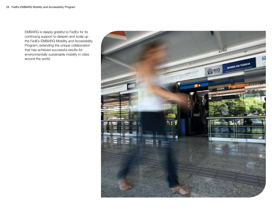EMBARQ is deeply grateful to FedEx for its continuing support to deepen and scale up the FedEx-EMBARQ Mobility and Accessibility Program, extending the unique collaboration that has achieved successful results for environmentally sustainable mobility in cities around the world.

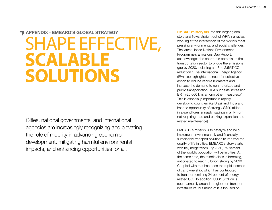## Appendix - EMBARQ's Global Strategy SHAPE EFFECTIVE, **scalable Solutions**

Cities, national governments, and international agencies are increasingly recognizing and elevating the role of mobility in advancing economic development, mitigating harmful environmental impacts, and enhancing opportunities for all.

**EMBARQ's story fits into this larger global** story and flows straight out of WRI's narrative, working at the intersection of the world's most pressing environmental and social challenges. The latest United Nations Environment Programme's Emissions Gap Report, acknowledges the enormous potential of the transportation sector to bridge the emissions gap by 2020, including a 1.7 to  $2.5GT$  CO<sub>2</sub> reduction.<sup>6</sup> The International Energy Agency (IEA) also highlights the need for collective action to reduce vehicle kilometers and increase the demand to nonmotorized and public transportation. (IEA suggests increasing BRT +25,000 km, among other measures.)<sup>7</sup> This is especially important in rapidly developing countries like Brazil and India and has the opportunity of saving US\$20 trillion in expenditures annually (savings mainly from not requiring road and parking expansion and related maintenance).

EMBARQ's mission is to catalyze and help implement environmentally and financially sustainable transport solutions to improve the quality of life in cities. EMBARQ's story starts with key megatrends. By 2050, 75 percent of the world's population will be in cities. At the same time, the middle class is booming, anticipated to reach 5 billion strong by 2030. Coupled with that has been the rapid increase of car ownership, which has contributed to transport emitting 24 percent of energyrelated CO $_{_2}$ . In addition, US\$1.6 trillion is spent annually around the globe on transport infrastructure, but much of it is focused on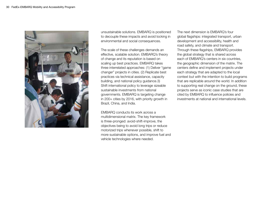

unsustainable solutions. EMBARQ is positioned to decouple these impacts and avoid locking in environmental and social consequences.

The scale of these challenges demands an effective, scalable solution. EMBARQ's theory of change and its reputation is based on scaling up best practices. EMBARQ takes three interrelated approaches: (1) Deliver "game changer" projects in cities. (2) Replicate best practices via technical assistance, capacity building, and national policy guidance.3) Shift international policy to leverage sizeable sustainable investments from national governments. EMBARQ is targeting change in 200+ cities by 2016, with priority growth in Brazil, China, and India.

EMBARQ conducts its work across a multidimensional matrix. The key framework is three-pronged: avoid-shift-improve, the objectives being to avoid long trips or reduce motorized trips whenever possible, shift to more sustainable options, and improve fuel and vehicle technologies where needed.

The next dimension is EMBARQ's four global flagships: integrated transport, urban development and accessibility, health and road safety, and climate and transport. Through these flagships, EMBARQ provides the global strategy that is shared across each of EMBARQ's centers in six countries, the geographic dimension of the matrix. The centers define and implement projects under each strategy that are adapted to the local context but with the intention to build programs that are replicable around the world. In addition to supporting real change on the ground, these projects serve as iconic case studies that are cited by EMBARQ to influence policies and investments at national and international levels.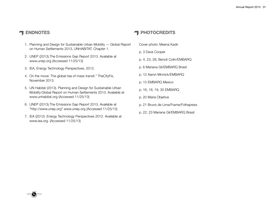CARBON NEUTR

- 1. Planning and Design for Sustainable Urban Mobility Global Report on Human Settlements 2013, UNHABITAT. Chapter 1.
- 2. UNEP (2013).The Emissions Gap Report 2013. Available at www.unep.org (Accessed 11/25/13)
- 3. IEA, Energy Technology Perspectives, 2012.
- 4. On the move: The global rise of mass transit." TheCityFix, November 2013.
- 5. UN Habitat (2013). Planning and Design for Sustainable Urban Mobility:Global Report on Human Settlements 2013. Available at www.unhabitat.org (Accessed 11/25/13)
- 6. UNEP (2013).The Emissions Gap Report 2013. Available at "http://www.unep.org" www.unep.org (Accessed 11/25/13)
- 7. IEA (2012). Energy Technology Perspectives 2012. Available at www.iea.org. (Accessed 11/25/13)

### endnotes and the set of the set of the set of the set of the set of the set of the set of the set of the set of the set of the set of the set of the set of the set of the set of the set of the set of the set of the set of

- Cover photo: Meena Kadri
- p. 3 Dave Cooper
- p. 4, 23, 28, Benoit Colin/EMBARQ
- p. 6 Mariana Gil/EMBARQ Brasil
- p. 12 Aaron Minnick/EMBARQ
- p. 15 EMBARQ Mexico
- p. 16, 18, 19, 30 EMBARQ
- p. 20 Maria Objetiva
- p. 21 Bruno de Lima/Frame/Folhapress
- p. 22, 23 Mariana Gil/EMBARQ Brasil